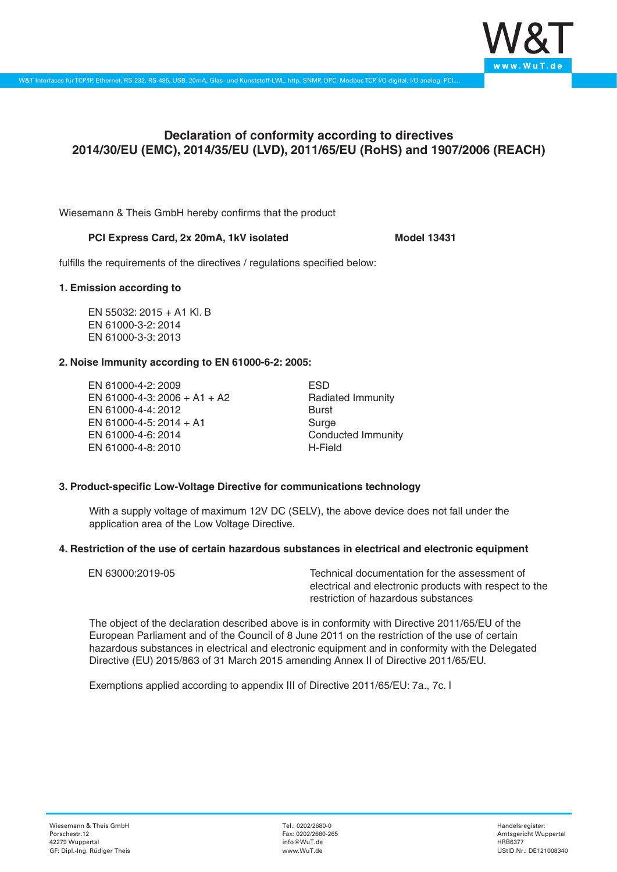

# **Declaration of conformity according to directives 2014/30/EU (EMC), 2014/35/EU (LVD), 2011/65/EU (RoHS) and 1907/2006 (REACH)**

Wiesemann & Theis GmbH hereby confirms that the product

## PCI Express Card, 2x 20mA, 1kV isolated Model 13431

fulfills the requirements of the directives / regulations specified below:

### **1. Emission according to**

EN 55032: 2015 + A1 Kl. B EN 61000-3-2: 2014 EN 61000-3-3: 2013

# **2. Noise Immunity according to EN 61000-6-2: 2005:**

EN 61000-4-2: 2009 EN 61000-4-3: 2006 + A1 + A2 EN 61000-4-4: 2012 EN 61000-4-5: 2014 + A1 EN 61000-4-6: 2014 EN 61000-4-8: 2010

ESD Radiated Immunity Burst Surge Conducted Immunity H-Field

# **3. Product-specific Low-Voltage Directive for communications technology**

With a supply voltage of maximum 12V DC (SELV), the above device does not fall under the application area of the Low Voltage Directive.

### **4. Restriction of the use of certain hazardous substances in electrical and electronic equipment**

| EN 63000:2019-05 | Technical documentation for the assessment of          |
|------------------|--------------------------------------------------------|
|                  | electrical and electronic products with respect to the |
|                  | restriction of hazardous substances                    |

The object of the declaration described above is in conformity with Directive 2011/65/EU of the European Parliament and of the Council of 8 June 2011 on the restriction of the use of certain hazardous substances in electrical and electronic equipment and in conformity with the Delegated Directive (EU) 2015/863 of 31 March 2015 amending Annex II of Directive 2011/65/EU.

Exemptions applied according to appendix III of Directive 2011/65/EU: 7a., 7c. I